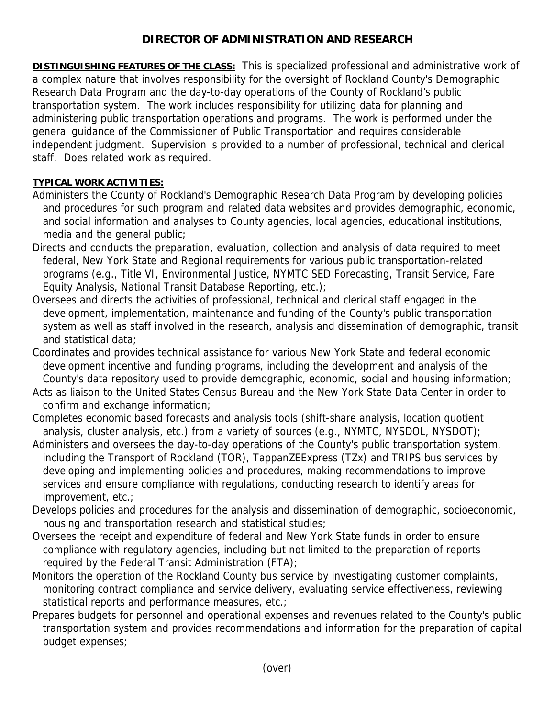## **DIRECTOR OF ADMINISTRATION AND RESEARCH**

**DISTINGUISHING FEATURES OF THE CLASS:** This is specialized professional and administrative work of a complex nature that involves responsibility for the oversight of Rockland County's Demographic Research Data Program and the day-to-day operations of the County of Rockland's public transportation system. The work includes responsibility for utilizing data for planning and administering public transportation operations and programs. The work is performed under the general guidance of the Commissioner of Public Transportation and requires considerable independent judgment. Supervision is provided to a number of professional, technical and clerical staff. Does related work as required.

## **TYPICAL WORK ACTIVITIES:**

- Administers the County of Rockland's Demographic Research Data Program by developing policies and procedures for such program and related data websites and provides demographic, economic, and social information and analyses to County agencies, local agencies, educational institutions, media and the general public;
- Directs and conducts the preparation, evaluation, collection and analysis of data required to meet federal, New York State and Regional requirements for various public transportation-related programs (e.g., Title VI, Environmental Justice, NYMTC SED Forecasting, Transit Service, Fare Equity Analysis, National Transit Database Reporting, etc.);
- Oversees and directs the activities of professional, technical and clerical staff engaged in the development, implementation, maintenance and funding of the County's public transportation system as well as staff involved in the research, analysis and dissemination of demographic, transit and statistical data;
- Coordinates and provides technical assistance for various New York State and federal economic development incentive and funding programs, including the development and analysis of the County's data repository used to provide demographic, economic, social and housing information;
- Acts as liaison to the United States Census Bureau and the New York State Data Center in order to confirm and exchange information;
- Completes economic based forecasts and analysis tools (shift-share analysis, location quotient analysis, cluster analysis, etc.) from a variety of sources (e.g., NYMTC, NYSDOL, NYSDOT);
- Administers and oversees the day-to-day operations of the County's public transportation system, including the Transport of Rockland (TOR), TappanZEExpress (TZx) and TRIPS bus services by developing and implementing policies and procedures, making recommendations to improve services and ensure compliance with regulations, conducting research to identify areas for improvement, etc.;
- Develops policies and procedures for the analysis and dissemination of demographic, socioeconomic, housing and transportation research and statistical studies;
- Oversees the receipt and expenditure of federal and New York State funds in order to ensure compliance with regulatory agencies, including but not limited to the preparation of reports required by the Federal Transit Administration (FTA);
- Monitors the operation of the Rockland County bus service by investigating customer complaints, monitoring contract compliance and service delivery, evaluating service effectiveness, reviewing statistical reports and performance measures, etc.;
- Prepares budgets for personnel and operational expenses and revenues related to the County's public transportation system and provides recommendations and information for the preparation of capital budget expenses;